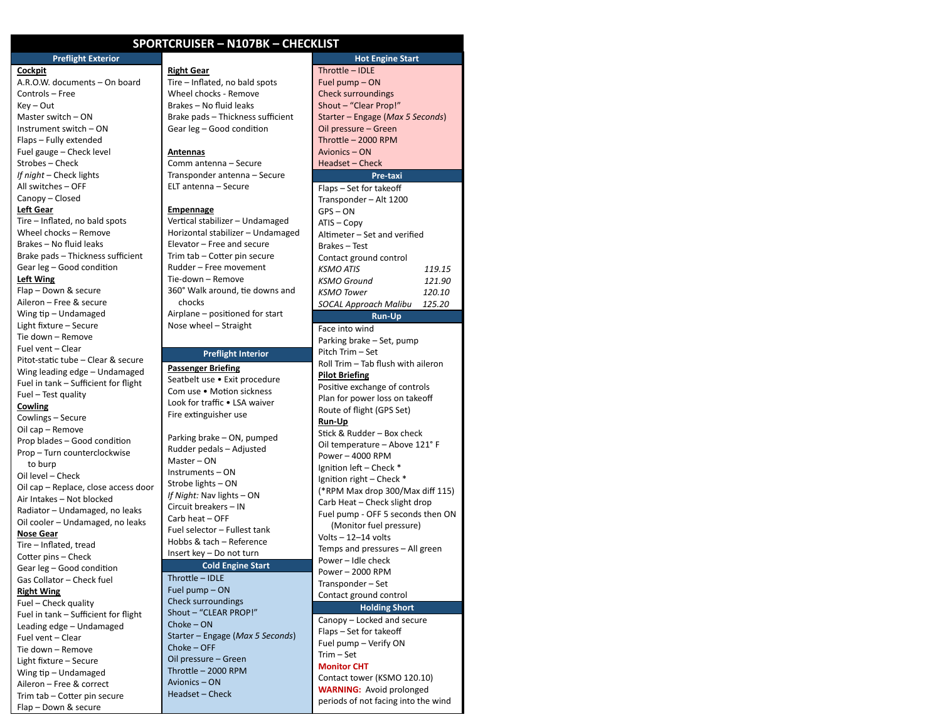## **SPORTCRUISER – N107BK – CHECKLIST**

Tire – Inflated, no bald spots Wheel chocks - Remove Brakes – No fluid leaks

Comm antenna – Secure Transponder antenna – Secure ELT antenna – Secure

Brake pads – Thickness sufficient Gear leg - Good condition

Vertical stabilizer - Undamaged Horizontal stabilizer – Undamaged Elevator – Free and secure Trim tab - Cotter pin secure Rudder – Free movement Tie-down – Remove

360° Walk around, tie downs and

**Preflight Interior**

Airplane – positioned for start Nose wheel – Straight

Parking brake – ON, pumped Rudder pedals – Adjusted

Fuel selector – Fullest tank Hobbs & tach – Reference Insert key – Do not turn

**Cold Engine Start**

Starter – Engage (*Max 5 Seconds*)

**Right Gear**

**Antennas**

**Empennage**

chocks

**Passenger Briefing** Seatbelt use • Exit procedure Com use . Motion sickness Look for traffic • LSA waiver Fire extinguisher use

Master – ON Instruments – ON Strobe lights – ON *If Night:* Nav lights – ON Circuit breakers – IN Carb heat – OFF

 $Throttle - IDLE$ Fuel pump – ON Check surroundings Shout – "CLEAR PROP!"

Choke – ON

Choke – OFF Oil pressure – Green Throttle  $-$  2000 RPM Avionics – ON Headset – Check

### **Preflight Exterior Cockpit**

A.R.O.W. documents – On board Controls – Free Key – Out Master switch – ON Instrument switch – ON Flaps – Fully extended Fuel gauge – Check level Strobes – Check *If night* – Check lights All switches – OFF Canopy – Closed

## **Left Gear**

Tire – Inflated, no bald spots Wheel chocks – Remove Brakes – No fluid leaks Brake pads – Thickness sufficient Gear leg - Good condition **Left Wing** Flap – Down & secure

Aileron – Free & secure Wing tip – Undamaged Light fixture – Secure Tie down – Remove Fuel vent – Clear Pitot-static tube – Clear & secure Wing leading edge – Undamaged Fuel in tank – Sufficient for flight Fuel – Test quality **Cowling** Cowlings – Secure Oil cap – Remove

Prop blades - Good condition Prop – Turn counterclockwise to burp Oil level – Check Oil cap – Replace, close access door Air Intakes – Not blocked Radiator – Undamaged, no leaks Oil cooler – Undamaged, no leaks **Nose Gear**

Tire – Inflated, tread Cotter pins - Check Gear leg - Good condition Gas Collator – Check fuel **Right Wing**

Fuel – Check quality Fuel in tank – Sufficient for flight Leading edge – Undamaged Fuel vent – Clear Tie down – Remove Light fixture – Secure Wing tip – Undamaged Aileron – Free & correct Trim tab - Cotter pin secure Flap – Down & secure

### **Hot Engine Start**

Throttle – IDLE Fuel pump – ON Check surroundings Shout – "Clear Prop!" Starter – Engage (*Max 5 Seconds*) Oil pressure – Green Throttle  $-$  2000 RPM Avionics – ON Headset – Check

# **Pre-taxi**

| Flaps - Set for takeoff      |        |  |
|------------------------------|--------|--|
| Transponder - Alt 1200       |        |  |
| GPS - ON                     |        |  |
| ATIS – Copy                  |        |  |
| Altimeter – Set and verified |        |  |
| Brakes - Test                |        |  |
| Contact ground control       |        |  |
| <b>KSMO ATIS</b>             | 119.15 |  |
| KSMO Ground                  | 121.90 |  |
| <b>KSMO Tower</b>            | 120.10 |  |
| SOCAL Approach Malibu        | 125.20 |  |
| <b>Run-Up</b>                |        |  |

Face into wind Parking brake – Set, pump Pitch Trim – Set Roll Trim – Tab flush with aileron **Pilot Briefing** Positive exchange of controls Plan for power loss on takeoff Route of flight (GPS Set) **Run-Up** Stick & Rudder – Box check Oil temperature – Above 121° F Power – 4000 RPM Ignition left – Check \* Ignition right – Check  $*$ (\*RPM Max drop 300/Max diff 115) Carb Heat – Check slight drop Fuel pump - OFF 5 seconds then ON (Monitor fuel pressure) Volts – 12–14 volts Temps and pressures – All green Power – Idle check Power – 2000 RPM Transponder – Set Contact ground control

### **Holding Short**

Canopy – Locked and secure Flaps – Set for takeoff Fuel pump – Verify ON Trim – Set **Monitor CHT** Contact tower (KSMO 120.10) **WARNING:** Avoid prolonged periods of not facing into the wind